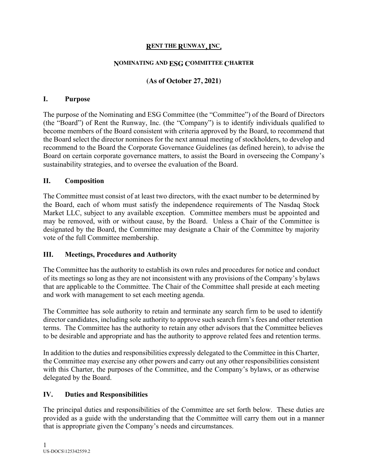#### **RENT THE RUNWAY, INC.**

#### **NOMINATING AND ESG COMMITTEE CHARTER**

# **(As of October 27, 2021)**

#### **I. Purpose**

The purpose of the Nominating and ESG Committee (the "Committee") of the Board of Directors (the "Board") of Rent the Runway, Inc. (the "Company") is to identify individuals qualified to become members of the Board consistent with criteria approved by the Board, to recommend that the Board select the director nominees for the next annual meeting of stockholders, to develop and recommend to the Board the Corporate Governance Guidelines (as defined herein), to advise the Board on certain corporate governance matters, to assist the Board in overseeing the Company's sustainability strategies, and to oversee the evaluation of the Board.

### **II. Composition**

The Committee must consist of at least two directors, with the exact number to be determined by the Board, each of whom must satisfy the independence requirements of The Nasdaq Stock Market LLC, subject to any available exception. Committee members must be appointed and may be removed, with or without cause, by the Board. Unless a Chair of the Committee is designated by the Board, the Committee may designate a Chair of the Committee by majority vote of the full Committee membership.

### **III. Meetings, Procedures and Authority**

The Committee has the authority to establish its own rules and procedures for notice and conduct of its meetings so long as they are not inconsistent with any provisions of the Company's bylaws that are applicable to the Committee. The Chair of the Committee shall preside at each meeting and work with management to set each meeting agenda.

The Committee has sole authority to retain and terminate any search firm to be used to identify director candidates, including sole authority to approve such search firm's fees and other retention terms. The Committee has the authority to retain any other advisors that the Committee believes to be desirable and appropriate and has the authority to approve related fees and retention terms.

In addition to the duties and responsibilities expressly delegated to the Committee in this Charter, the Committee may exercise any other powers and carry out any other responsibilities consistent with this Charter, the purposes of the Committee, and the Company's bylaws, or as otherwise delegated by the Board.

# **IV. Duties and Responsibilities**

The principal duties and responsibilities of the Committee are set forth below. These duties are provided as a guide with the understanding that the Committee will carry them out in a manner that is appropriate given the Company's needs and circumstances.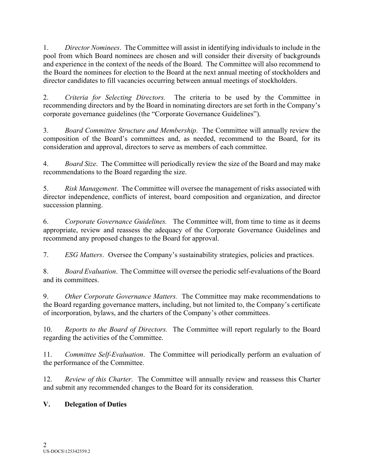1. *Director Nominees*. The Committee will assist in identifying individuals to include in the pool from which Board nominees are chosen and will consider their diversity of backgrounds and experience in the context of the needs of the Board. The Committee will also recommend to the Board the nominees for election to the Board at the next annual meeting of stockholders and director candidates to fill vacancies occurring between annual meetings of stockholders.

2. *Criteria for Selecting Directors.* The criteria to be used by the Committee in recommending directors and by the Board in nominating directors are set forth in the Company's corporate governance guidelines (the "Corporate Governance Guidelines").

3. *Board Committee Structure and Membership*. The Committee will annually review the composition of the Board's committees and, as needed, recommend to the Board, for its consideration and approval, directors to serve as members of each committee.

4. *Board Size*. The Committee will periodically review the size of the Board and may make recommendations to the Board regarding the size.

5. *Risk Management*. The Committee will oversee the management of risks associated with director independence, conflicts of interest, board composition and organization, and director succession planning.

6. *Corporate Governance Guidelines.* The Committee will, from time to time as it deems appropriate, review and reassess the adequacy of the Corporate Governance Guidelines and recommend any proposed changes to the Board for approval.

7. *ESG Matters*. Oversee the Company's sustainability strategies, policies and practices.

8. *Board Evaluation*. The Committee will oversee the periodic self-evaluations of the Board and its committees.

9. *Other Corporate Governance Matters.* The Committee may make recommendations to the Board regarding governance matters, including, but not limited to, the Company's certificate of incorporation, bylaws, and the charters of the Company's other committees.

10. *Reports to the Board of Directors.* The Committee will report regularly to the Board regarding the activities of the Committee.

11. *Committee Self-Evaluation*. The Committee will periodically perform an evaluation of the performance of the Committee.

12. *Review of this Charter.* The Committee will annually review and reassess this Charter and submit any recommended changes to the Board for its consideration.

# **V. Delegation of Duties**